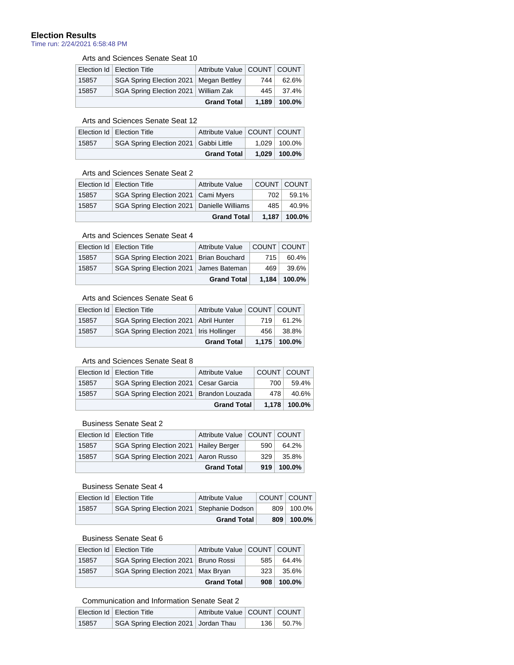# **Election Results**

Time run: 2/24/2021 6:58:48 PM

#### Arts and Sciences Senate Seat 10

|       |                                          | <b>Grand Total</b>              | 1.189 | 100.0% |
|-------|------------------------------------------|---------------------------------|-------|--------|
| 15857 | SGA Spring Election 2021   William Zak   |                                 | 445   | 37.4%  |
| 15857 | SGA Spring Election 2021   Megan Bettley |                                 | 744   | 62.6%  |
|       | Election Id   Election Title             | Attribute Value   COUNT   COUNT |       |        |

### Arts and Sciences Senate Seat 12

|       | Election Id   Election Title            | Attribute Value   COUNT   COUNT |                  |
|-------|-----------------------------------------|---------------------------------|------------------|
| 15857 | SGA Spring Election 2021   Gabbi Little |                                 | $1.029$   100.0% |
|       |                                         | <b>Grand Total</b>              | $1.029$   100.0% |

#### Arts and Sciences Senate Seat 2

|                    | Election Id   Election Title                 | <b>Attribute Value</b> | COUNT COUNT |                  |
|--------------------|----------------------------------------------|------------------------|-------------|------------------|
| 15857              | SGA Spring Election 2021   Cami Myers        |                        | 702         | $59.1\%$         |
| 15857              | SGA Spring Election 2021   Danielle Williams |                        | 485         | 40.9%            |
| <b>Grand Total</b> |                                              |                        |             | $1,187$   100.0% |

## Arts and Sciences Senate Seat 4

|                    | Election Id   Election Title              | Attribute Value |       | COUNT COUNT   |
|--------------------|-------------------------------------------|-----------------|-------|---------------|
| 15857              | SGA Spring Election 2021   Brian Bouchard |                 | 715   | $60.4\%$      |
| 15857              | SGA Spring Election 2021   James Bateman  |                 | 469   | 39.6% l       |
| <b>Grand Total</b> |                                           |                 | 1.184 | 100.0% $\mid$ |

### Arts and Sciences Senate Seat 6

|       | Election Id   Election Title              | Attribute Value   COUNT   COUNT |      |                  |
|-------|-------------------------------------------|---------------------------------|------|------------------|
| 15857 | SGA Spring Election 2021   Abril Hunter   |                                 | 719  | 61.2%            |
| 15857 | SGA Spring Election 2021   Iris Hollinger |                                 | 456∣ | 38.8% ∣          |
|       |                                           | <b>Grand Total</b>              |      | $1.175$   100.0% |

### Arts and Sciences Senate Seat 8

|                    | Election Id   Election Title               | Attribute Value | COUNT COUNT |        |
|--------------------|--------------------------------------------|-----------------|-------------|--------|
| 15857              | SGA Spring Election 2021   Cesar Garcia    |                 | 700         | 59.4%  |
| 15857              | SGA Spring Election 2021   Brandon Louzada |                 | 478         | 40.6%  |
| <b>Grand Total</b> |                                            |                 | 1.178       | 100.0% |

#### Business Senate Seat 2

|       | Election Id   Election Title             | Attribute Value   COUNT   COUNT |            |        |
|-------|------------------------------------------|---------------------------------|------------|--------|
| 15857 | SGA Spring Election 2021   Hailey Berger |                                 | $590 \mid$ | 64.2%  |
| 15857 | SGA Spring Election 2021   Aaron Russo   |                                 | 329        | 35.8%  |
|       | <b>Grand Total</b>                       |                                 |            | 100.0% |

## Business Senate Seat 4

|       | Election Id   Election Title                | Attribute Value    | COUNT   COUNT |                        |
|-------|---------------------------------------------|--------------------|---------------|------------------------|
| 15857 | SGA Spring Election 2021   Stephanie Dodson | <b>Grand Total</b> | 809           | 809 100.0%<br>. 100.0% |

#### Business Senate Seat 6

|       | Election Id   Election Title           | Attribute Value   COUNT   COUNT |     |        |
|-------|----------------------------------------|---------------------------------|-----|--------|
| 15857 | SGA Spring Election 2021   Bruno Rossi |                                 | 585 | 64.4%  |
| 15857 | SGA Spring Election 2021   Max Bryan   |                                 | 323 | 35.6%  |
|       |                                        | <b>Grand Total</b>              | 908 | 100.0% |

#### Communication and Information Senate Seat 2

|       | Election Id   Election Title           | Attribute Value   COUNT   COUNT |     |       |
|-------|----------------------------------------|---------------------------------|-----|-------|
| 15857 | SGA Spring Election 2021   Jordan Thau |                                 | 136 | 50.7% |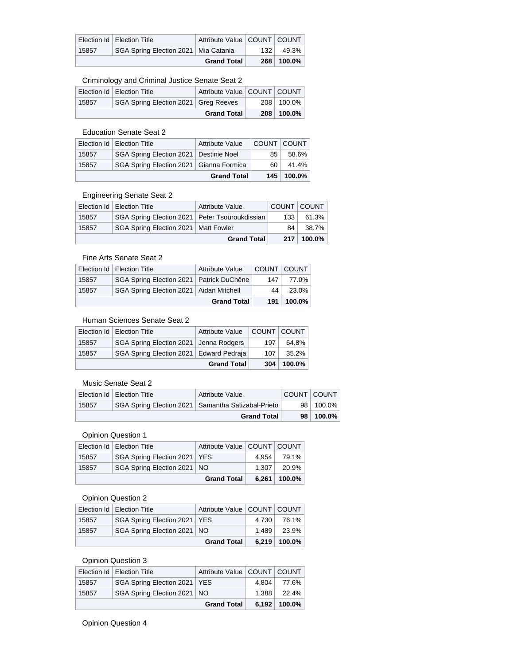|                    | Election Id   Election Title           | Attribute Value   COUNT   COUNT |                  |        |
|--------------------|----------------------------------------|---------------------------------|------------------|--------|
| 15857              | SGA Spring Election 2021   Mia Catania |                                 | 132 <sub>1</sub> | 49.3%  |
| <b>Grand Total</b> |                                        |                                 | 268              | 100.0% |

#### Criminology and Criminal Justice Senate Seat 2

|                    | Election Id   Election Title           | Attribute Value   COUNT   COUNT |                |
|--------------------|----------------------------------------|---------------------------------|----------------|
| 15857              | SGA Spring Election 2021   Greg Reeves |                                 | $208$   100.0% |
| <b>Grand Total</b> |                                        |                                 | $208$   100.0% |

## Education Senate Seat 2

|                    | Election Id   Election Title              | Attribute Value |      | COUNT COUNT |
|--------------------|-------------------------------------------|-----------------|------|-------------|
| 15857              | SGA Spring Election 2021   Destinie Noel  |                 | 85   | 58.6%       |
| 15857              | SGA Spring Election 2021   Gianna Formica |                 | 60 I | 41.4%       |
| <b>Grand Total</b> |                                           |                 |      | 145 100.0%  |

# Engineering Senate Seat 2

|                    | Election Id   Election Title                     | <b>Attribute Value</b> |               | COUNT COUNT |
|--------------------|--------------------------------------------------|------------------------|---------------|-------------|
| 15857              | SGA Spring Election 2021   Peter Tsouroukdissian |                        | $133 \mid$    | $61.3\%$    |
| 15857              | SGA Spring Election 2021   Matt Fowler           |                        | 84 I          | 38.7%       |
| <b>Grand Total</b> |                                                  | 217                    | 100.0% $\mid$ |             |

## Fine Arts Senate Seat 2

|                    | Election Id   Election Title               | <b>Attribute Value</b> | COUNT COUNT |        |
|--------------------|--------------------------------------------|------------------------|-------------|--------|
| 15857              | SGA Spring Election 2021   Patrick DuChêne |                        | 147         | 77.0%  |
| 15857              | SGA Spring Election 2021   Aidan Mitchell  |                        | 44          | 23.0%  |
| <b>Grand Total</b> |                                            |                        | 191         | 100.0% |

## Human Sciences Senate Seat 2

|                    | Election Id   Election Title              | Attribute Value | COUNT COUNT |       |
|--------------------|-------------------------------------------|-----------------|-------------|-------|
| 15857              | SGA Spring Election 2021   Jenna Rodgers  |                 | 197         | 64.8% |
| 15857              | SGA Spring Election 2021   Edward Pedraja |                 | 107         | 35.2% |
| <b>Grand Total</b> |                                           | 304             | 100.0%      |       |

## Music Senate Seat 2

|                    | Election Id   Election Title | <b>Attribute Value</b>                               | COUNT COUNT   |
|--------------------|------------------------------|------------------------------------------------------|---------------|
| 15857              |                              | SGA Spring Election 2021   Samantha Satizabal-Prieto | $98$   100.0% |
| <b>Grand Total</b> |                              |                                                      | $98 100.0\% $ |

## Opinion Question 1

|       | Election Id   Election Title   | Attribute Value   COUNT   COUNT |       |               |
|-------|--------------------------------|---------------------------------|-------|---------------|
| 15857 | SGA Spring Election 2021   YES |                                 | 4.954 | 79.1%         |
| 15857 | SGA Spring Election 2021   NO  |                                 | 1.307 | 20.9%         |
|       |                                | <b>Grand Total</b>              | 6.261 | 100.0% $\mid$ |

### Opinion Question 2

|       |                                | <b>Grand Total</b>              | $6.219$   100.0% |
|-------|--------------------------------|---------------------------------|------------------|
| 15857 | SGA Spring Election 2021   NO  |                                 | $1.489$   23.9%  |
| 15857 | SGA Spring Election 2021   YES |                                 | $4.730$   76.1%  |
|       | Election Id   Election Title   | Attribute Value   COUNT   COUNT |                  |

## Opinion Question 3

|       | Election Id   Election Title   | Attribute Value   COUNT   COUNT |       |                      |
|-------|--------------------------------|---------------------------------|-------|----------------------|
| 15857 | SGA Spring Election 2021   YES |                                 | 4.804 | 77.6%                |
| 15857 | SGA Spring Election 2021   NO  |                                 | 1.388 | 22.4%                |
|       |                                | <b>Grand Total</b>              |       | $6.192 \mid 100.0\%$ |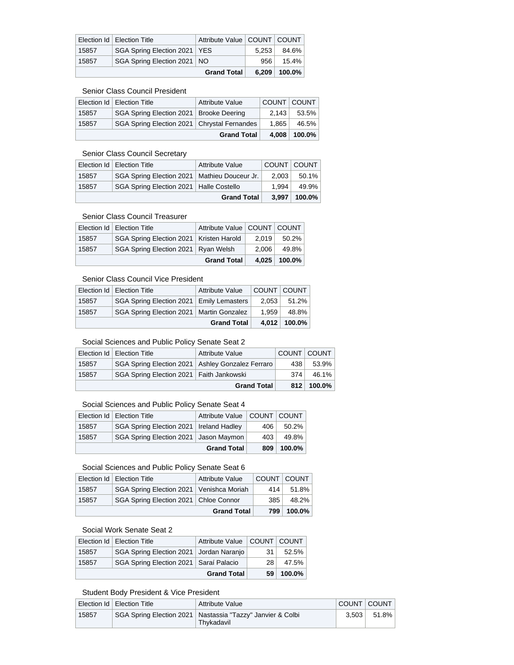|       | Election Id   Election Title   | Attribute Value   COUNT   COUNT |            |        |
|-------|--------------------------------|---------------------------------|------------|--------|
| 15857 | SGA Spring Election 2021   YES |                                 | 5.253      | 84.6%  |
| 15857 | SGA Spring Election 2021   NO  |                                 | $956 \mid$ | 15.4%  |
|       |                                | <b>Grand Total</b>              | 6.209      | 100.0% |

#### Senior Class Council President

| <b>Grand Total</b> |                                               |                        | 4.008       | 100.0% |
|--------------------|-----------------------------------------------|------------------------|-------------|--------|
| 15857              | SGA Spring Election 2021   Chrystal Fernandes |                        | 1.865       | 46.5%  |
| 15857              | SGA Spring Election 2021   Brooke Deering     |                        | 2.143       | 53.5%  |
|                    | Election Id   Election Title                  | <b>Attribute Value</b> | COUNT COUNT |        |

## Senior Class Council Secretary

| <b>Grand Total</b> |                                                |                        | 3.997       | 100.0% |
|--------------------|------------------------------------------------|------------------------|-------------|--------|
| 15857              | SGA Spring Election 2021   Halle Costello      |                        | 1.994       | 49.9%  |
| 15857              | SGA Spring Election 2021   Mathieu Douceur Jr. |                        | 2.003       | 50.1%  |
|                    | Election Id   Election Title                   | <b>Attribute Value</b> | COUNT COUNT |        |

## Senior Class Council Treasurer

|       | Election Id   Election Title              | Attribute Value   COUNT   COUNT |       |        |
|-------|-------------------------------------------|---------------------------------|-------|--------|
| 15857 | SGA Spring Election 2021   Kristen Harold |                                 | 2.019 | 50.2%  |
| 15857 | SGA Spring Election 2021   Ryan Welsh     |                                 | 2.006 | 49.8%  |
|       |                                           | <b>Grand Total</b>              | 4.025 | 100.0% |

### Senior Class Council Vice President

|                    | Election Id   Election Title               | <b>Attribute Value</b> | COUNT COUNT |        |
|--------------------|--------------------------------------------|------------------------|-------------|--------|
| 15857              | SGA Spring Election 2021   Emily Lemasters |                        | 2.053       | 51.2%  |
| 15857              | SGA Spring Election 2021   Martin Gonzalez |                        | 1.959       | 48.8%  |
| <b>Grand Total</b> |                                            |                        | 4.012       | 100.0% |

## Social Sciences and Public Policy Senate Seat 2

|                    | Election Id   Election Title                       | <b>Attribute Value</b> |     | COUNT COUNT    |
|--------------------|----------------------------------------------------|------------------------|-----|----------------|
| 15857              | SGA Spring Election 2021   Ashley Gonzalez Ferraro |                        | 438 | $53.9\%$       |
| 15857              | SGA Spring Election 2021   Faith Jankowski         |                        | 374 | 46.1%          |
| <b>Grand Total</b> |                                                    |                        |     | $812$   100.0% |

### Social Sciences and Public Policy Senate Seat 4

|                    | Election Id   Election Title              | Attribute Value   COUNT   COUNT |                  |        |
|--------------------|-------------------------------------------|---------------------------------|------------------|--------|
| 15857              | SGA Spring Election 2021   Ireland Hadley |                                 | 406              | 50.2%  |
| 15857              | SGA Spring Election 2021   Jason Maymon   |                                 | $403 \mid$       | 49.8%  |
| <b>Grand Total</b> |                                           |                                 | 809 <sup>1</sup> | 100.0% |

## Social Sciences and Public Policy Senate Seat 6

|                    | Election Id   Election Title               | <b>Attribute Value</b> | COUNT COUNT |        |
|--------------------|--------------------------------------------|------------------------|-------------|--------|
| 15857              | SGA Spring Election 2021   Venishca Moriah |                        | 414         | 51.8%  |
| 15857              | SGA Spring Election 2021   Chloe Connor    |                        | 385         | 48.2%  |
| <b>Grand Total</b> |                                            |                        | 799         | 100.0% |

## Social Work Senate Seat 2

|                    | Election Id   Election Title              | Attribute Value   COUNT   COUNT |                 |               |
|--------------------|-------------------------------------------|---------------------------------|-----------------|---------------|
| 15857              | SGA Spring Election 2021   Jordan Naranjo |                                 | 31              | $52.5\%$      |
| 15857              | SGA Spring Election 2021   Saraí Palacio  |                                 | 28 <sup>1</sup> | 47.5%∣        |
| <b>Grand Total</b> |                                           |                                 |                 | $59$   100.0% |

### Student Body President & Vice President

|       | Election Id   Election Title | Attribute Value                                                            |       | COUNT   COUNT |
|-------|------------------------------|----------------------------------------------------------------------------|-------|---------------|
| 15857 |                              | SGA Spring Election 2021   Nastassia "Tazzy" Janvier & Colbi<br>Thvkadavil | 3.503 | $51.8\%$      |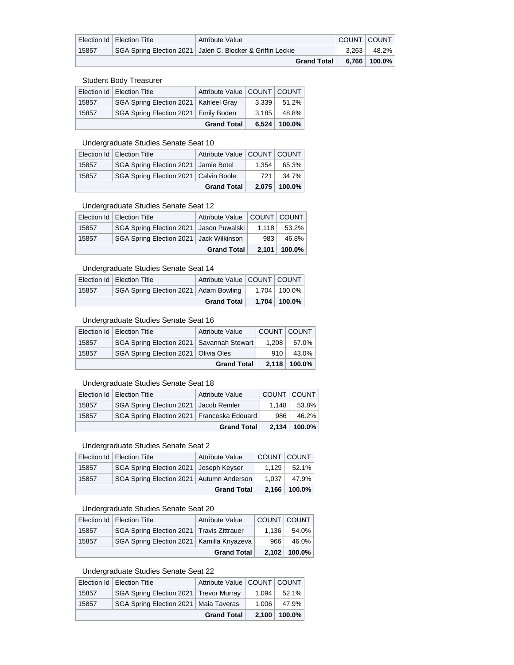|                    | Election Id   Election Title | Attribute Value                                              | COUNT COUNT |                              |
|--------------------|------------------------------|--------------------------------------------------------------|-------------|------------------------------|
| 15857              |                              | SGA Spring Election 2021   Jalen C. Blocker & Griffin Leckie | 3.263       | 48.2%                        |
| <b>Grand Total</b> |                              |                                                              |             | $6.766$ $\mid$ 100.0% $\mid$ |

### Student Body Treasurer

|       | Election Id   Election Title            | Attribute Value   COUNT   COUNT |       |           |
|-------|-----------------------------------------|---------------------------------|-------|-----------|
| 15857 | SGA Spring Election 2021   Kahleel Gray |                                 | 3.339 | 51.2%     |
| 15857 | SGA Spring Election 2021   Emily Boden  |                                 | 3.185 | 48.8%     |
|       |                                         | <b>Grand Total</b>              | 6.524 | $100.0\%$ |

### Undergraduate Studies Senate Seat 10

|       |                                         | <b>Grand Total</b>              |       | $2.075$   100.0% |
|-------|-----------------------------------------|---------------------------------|-------|------------------|
| 15857 | SGA Spring Election 2021   Calvin Boole |                                 | 721   | 34.7%            |
| 15857 | SGA Spring Election 2021   Jamie Botel  |                                 | 1.354 | 65.3%            |
|       | Election Id   Election Title            | Attribute Value   COUNT   COUNT |       |                  |

### Undergraduate Studies Senate Seat 12

|       | Election Id   Election Title              | Attribute Value   COUNT   COUNT |       |                  |
|-------|-------------------------------------------|---------------------------------|-------|------------------|
| 15857 | SGA Spring Election 2021   Jason Puwalski |                                 | 1.118 | 53.2%            |
| 15857 | SGA Spring Election 2021   Jack Wilkinson |                                 | 983'  | 46.8%            |
|       |                                           | <b>Grand Total</b>              |       | $2,101$   100.0% |

## Undergraduate Studies Senate Seat 14

| <b>Grand Total</b> |                                         |                                 | $1.704$   100.0% |
|--------------------|-----------------------------------------|---------------------------------|------------------|
| 15857              | SGA Spring Election 2021   Adam Bowling |                                 | $1.704$   100.0% |
|                    | Election Id   Election Title            | Attribute Value   COUNT   COUNT |                  |

## Undergraduate Studies Senate Seat 16

|                    | Election Id   Election Title                | <b>Attribute Value</b> | COUNT COUNT |                |
|--------------------|---------------------------------------------|------------------------|-------------|----------------|
| 15857              | SGA Spring Election 2021   Savannah Stewart |                        | 1.208       | 57.0%          |
| 15857              | SGA Spring Election 2021   Olivia Oles      |                        | $910 \mid$  | 43.0%          |
| <b>Grand Total</b> |                                             |                        |             | $2.118$ 100.0% |

### Undergraduate Studies Senate Seat 18

| <b>Grand Total</b> |                                              |                        | $2.134$   100.0% |       |
|--------------------|----------------------------------------------|------------------------|------------------|-------|
| 15857              | SGA Spring Election 2021   Franceska Edouard |                        | 986              | 46.2% |
| 15857              | SGA Spring Election 2021   Jacob Remler      |                        | 1.148            | 53.8% |
|                    | Election Id   Election Title                 | <b>Attribute Value</b> | COUNT COUNT      |       |

## Undergraduate Studies Senate Seat 2

|                    | Election Id   Election Title               | Attribute Value |               | COUNT   COUNT |
|--------------------|--------------------------------------------|-----------------|---------------|---------------|
| 15857              | SGA Spring Election 2021   Joseph Keyser   |                 | 1.129         | 52.1%         |
| 15857              | SGA Spring Election 2021   Autumn Anderson |                 | 1.037         | 47.9%         |
| <b>Grand Total</b> |                                            | 2,166           | 100.0% $\mid$ |               |

## Undergraduate Studies Senate Seat 20

|                    | Election Id   Election Title                | <b>Attribute Value</b> |       | COUNT COUNT      |
|--------------------|---------------------------------------------|------------------------|-------|------------------|
| 15857              | SGA Spring Election 2021   Travis Zittrauer |                        | 1.136 | 54.0%            |
| 15857              | SGA Spring Election 2021   Kamilla Knyazeva |                        | 966   | 46.0%            |
| <b>Grand Total</b> |                                             |                        |       | $2.102$   100.0% |

## Undergraduate Studies Senate Seat 22

|       | Election Id   Election Title             | Attribute Value   COUNT   COUNT |       |               |
|-------|------------------------------------------|---------------------------------|-------|---------------|
| 15857 | SGA Spring Election 2021   Trevor Murray |                                 | 1.094 | $52.1\%$      |
| 15857 | SGA Spring Election 2021   Maia Taveras  |                                 | 1.006 | 47.9%         |
|       |                                          | <b>Grand Total</b>              | 2.100 | 100.0% $\mid$ |